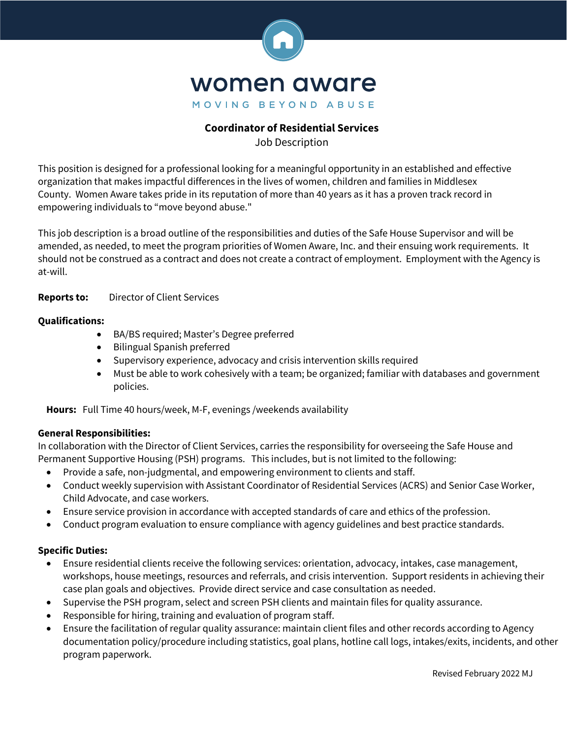

# **Coordinator of Residential Services**

Job Description

This position is designed for a professional looking for a meaningful opportunity in an established and effective organization that makes impactful differences in the lives of women, children and families in Middlesex County. Women Aware takes pride in its reputation of more than 40 years as it has a proven track record in empowering individuals to "move beyond abuse."

This job description is a broad outline of the responsibilities and duties of the Safe House Supervisor and will be amended, as needed, to meet the program priorities of Women Aware, Inc. and their ensuing work requirements. It should not be construed as a contract and does not create a contract of employment. Employment with the Agency is at-will.

## **Reports to:** Director of Client Services

### **Qualifications:**

- BA/BS required; Master's Degree preferred
- Bilingual Spanish preferred
- Supervisory experience, advocacy and crisis intervention skills required
- Must be able to work cohesively with a team; be organized; familiar with databases and government policies.

**Hours:** Full Time 40 hours/week, M-F, evenings /weekends availability

#### **General Responsibilities:**

In collaboration with the Director of Client Services, carries the responsibility for overseeing the Safe House and Permanent Supportive Housing (PSH) programs. This includes, but is not limited to the following:

- Provide a safe, non-judgmental, and empowering environment to clients and staff.
- Conduct weekly supervision with Assistant Coordinator of Residential Services (ACRS) and Senior Case Worker, Child Advocate, and case workers.
- Ensure service provision in accordance with accepted standards of care and ethics of the profession.
- Conduct program evaluation to ensure compliance with agency guidelines and best practice standards.

#### **Specific Duties:**

- Ensure residential clients receive the following services: orientation, advocacy, intakes, case management, workshops, house meetings, resources and referrals, and crisis intervention. Support residents in achieving their case plan goals and objectives. Provide direct service and case consultation as needed.
- Supervise the PSH program, select and screen PSH clients and maintain files for quality assurance.
- Responsible for hiring, training and evaluation of program staff.
- Ensure the facilitation of regular quality assurance: maintain client files and other records according to Agency documentation policy/procedure including statistics, goal plans, hotline call logs, intakes/exits, incidents, and other program paperwork.